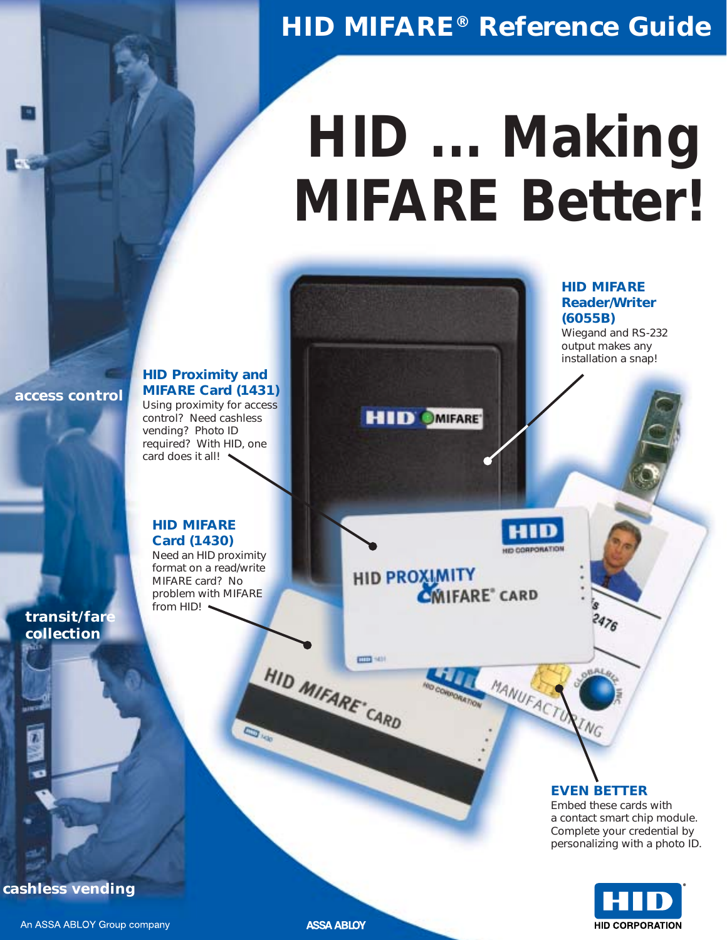# *HID MIFARE® Reference Guide*

# *HID ... Making MIFARE Better!*

*access control*

#### **HID Proximity and MIFARE Card (1431)** Using proximity for access control? Need cashless vending? Photo ID required? With HID, one card does it all!  $\rightarrow$

#### **HID MIFARE Card (1430)**

Need an HID proximity format on a read/write MIFARE card? No problem with MIFARE from HID!

HID PROXIMITY<br>CMIFARE<sup>®</sup> CARD

**HID OMIFARE** 

#### *transit/fare collection*

#### **EVEN BETTER**

**ING** 

**HID MIFARE Reader/Writer**

Wiegand and RS-232 output makes any installation a snap!

**(6055B)**

HID CORPORATION

MANUFACTON

Embed these cards with a contact smart chip module. Complete your credential by personalizing with a photo ID.



*cashless vending*

**ASSA ABLOY** 

HID MIFARE CARD

000 1401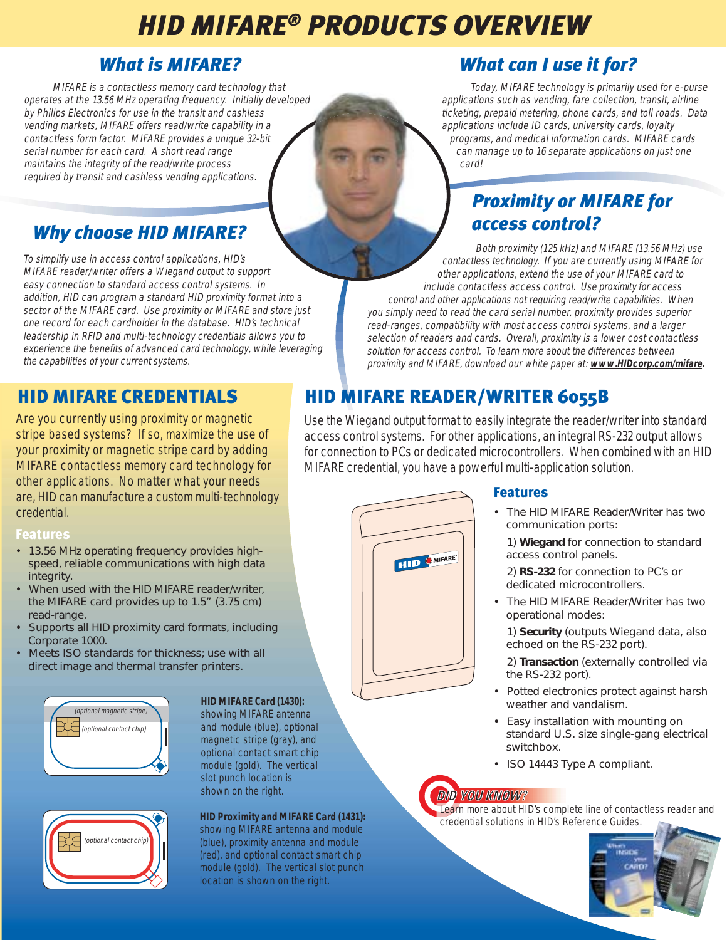# *HID MIFARE® PRODUCTS OVERVIEW*

### *What is MIFARE?*

MIFARE is a contactless memory card technology that operates at the 13.56 MHz operating frequency. Initially developed by Philips Electronics for use in the transit and cashless vending markets, MIFARE offers read/write capability in a contactless form factor. MIFARE provides a unique 32-bit serial number for each card. A short read range maintains the integrity of the read/write process required by transit and cashless vending applications.

# *Why choose HID MIFARE?*

To simplify use in access control applications, HID's MIFARE reader/writer offers a Wiegand output to support easy connection to standard access control systems. In addition, HID can program a standard HID proximity format into a sector of the MIFARE card. Use proximity or MIFARE and store just one record for each cardholder in the database. HID's technical leadership in RFID and multi-technology credentials allows you to experience the benefits of advanced card technology, while leveraging the capabilities of your current systems.

Are you currently using proximity or magnetic stripe based systems? If so, maximize the use of your proximity or magnetic stripe card by adding MIFARE contactless memory card technology for other applications. No matter what your needs are, HID can manufacture a custom multi-technology credential.

#### Features

- 13.56 MHz operating frequency provides highspeed, reliable communications with high data integrity.
- When used with the HID MIFARE reader/writer, the MIFARE card provides up to 1.5" (3.75 cm) read-range.
- Supports all HID proximity card formats, including Corporate 1000.
- Meets ISO standards for thickness; use with all direct image and thermal transfer printers.





#### **HID MIFARE Card (1430):**

showing MIFARE antenna and module (blue), optional magnetic stripe (gray), and optional contact smart chip module (gold). The vertical slot punch location is shown on the right.

#### **HID Proximity and MIFARE Card (1431):**

showing MIFARE antenna and module (blue), proximity antenna and module (red), and optional contact smart chip module (gold). The vertical slot punch location is shown on the right.

# *What can I use it for?*

Today, MIFARE technology is primarily used for e-purse applications such as vending, fare collection, transit, airline ticketing, prepaid metering, phone cards, and toll roads. Data applications include ID cards, university cards, loyalty programs, and medical information cards. MIFARE cards can manage up to 16 separate applications on just one card!

## *Proximity or MIFARE for access control?*

Both proximity (125 kHz) and MIFARE (13.56 MHz) use contactless technology. If you are currently using MIFARE for other applications, extend the use of your MIFARE card to include contactless access control. Use proximity for access control and other applications not requiring read/write capabilities. When you simply need to read the card serial number, proximity provides superior read-ranges, compatibility with most access control systems, and a larger selection of readers and cards. Overall, proximity is a lower cost contactless solution for access control. To learn more about the differences between proximity and MIFARE, download our white paper at: **www.HIDcorp.com/mifare.**

# HID MIFARE CREDENTIALS HID MIFARE READER/WRITER 6055B

Use the Wiegand output format to easily integrate the reader/writer into standard access control systems. For other applications, an integral RS-232 output allows for connection to PCs or dedicated microcontrollers. When combined with an HID MIFARE credential, you have a powerful multi-application solution.



### **Features**

- The HID MIFARE Reader/Writer has two communication ports:
	- 1) **Wiegand** for connection to standard access control panels.

2) **RS-232** for connection to PC's or dedicated microcontrollers.

The HID MIFARE Reader/Writer has two operational modes:

1) **Security** (outputs Wiegand data, also echoed on the RS-232 port).

- 2) **Transaction** (externally controlled via the RS-232 port).
- Potted electronics protect against harsh weather and vandalism.
- Easy installation with mounting on standard U.S. size single-gang electrical switchbox.
- ISO 14443 Type A compliant.

### DID YOU KNOW?

Learn more about HID's complete line of contactless reader and credential solutions in HID's Reference Guides.

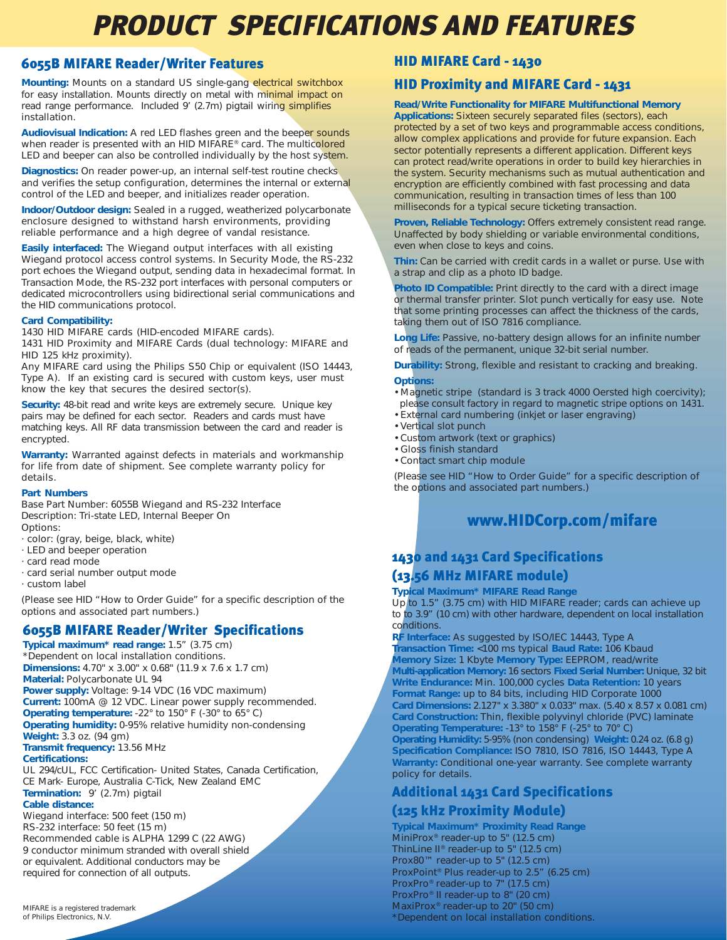# *PRODUCT SPECIFICATIONS AND FEATURES*

#### 6055B MIFARE Reader/Writer Features

**Mounting:** Mounts on a standard US single-gang electrical switchbox for easy installation. Mounts directly on metal with minimal impact on read range performance. Included 9' (2.7m) pigtail wiring simplifies installation.

**Audiovisual Indication:** A red LED flashes green and the beeper sounds when reader is presented with an HID MIFARE® card. The multicolored LED and beeper can also be controlled individually by the host system.

**Diagnostics:** On reader power-up, an internal self-test routine checks and verifies the setup configuration, determines the internal or external control of the LED and beeper, and initializes reader operation.

**Indoor/Outdoor design:** Sealed in a rugged, weatherized polycarbonate enclosure designed to withstand harsh environments, providing reliable performance and a high degree of vandal resistance.

**Easily interfaced:** The Wiegand output interfaces with all existing Wiegand protocol access control systems. In Security Mode, the RS-232 port echoes the Wiegand output, sending data in hexadecimal format. In Transaction Mode, the RS-232 port interfaces with personal computers or dedicated microcontrollers using bidirectional serial communications and the HID communications protocol.

#### **Card Compatibility:**

1430 HID MIFARE cards (HID-encoded MIFARE cards).

1431 HID Proximity and MIFARE Cards (dual technology: MIFARE and HID 125 kHz proximity).

Any MIFARE card using the Philips S50 Chip or equivalent (ISO 14443, Type A). If an existing card is secured with custom keys, user must know the key that secures the desired sector(s).

**Security:** 48-bit read and write keys are extremely secure. Unique key pairs may be defined for each sector. Readers and cards must have matching keys. All RF data transmission between the card and reader is encrypted.

**Warranty:** Warranted against defects in materials and workmanship for life from date of shipment. See complete warranty policy for details.

#### **Part Numbers**

Base Part Number: 6055B Wiegand and RS-232 Interface Description: Tri-state LED, Internal Beeper On Options:

· color: (gray, beige, black, white)

- · LED and beeper operation
- · card read mode
- · card serial number output mode
- · custom label

(Please see HID "How to Order Guide" for a specific description of the options and associated part numbers.)

#### 6055B MIFARE Reader/Writer Specifications

**Typical maximum\* read range:** 1.5" (3.75 cm) \*Dependent on local installation conditions. **Dimensions:** 4.70" x 3.00" x 0.68" (11.9 x 7.6 x 1.7 cm) **Material:** Polycarbonate UL 94 **Power supply:** Voltage: 9-14 VDC (16 VDC maximum) **Current:** 100mA @ 12 VDC. Linear power supply recommended. **Operating temperature:** -22° to 150° F (-30° to 65° C) **Operating humidity:** 0-95% relative humidity non-condensing **Weight:** 3.3 oz. (94 gm) **Transmit frequency:** 13.56 MHz **Certifications:** UL 294/cUL, FCC Certification- United States, Canada Certification, CE Mark- Europe, Australia C-Tick, New Zealand EMC

**Termination:** 9' (2.7m) pigtail **Cable distance:**

Wiegand interface: 500 feet (150 m) RS-232 interface: 50 feet (15 m) Recommended cable is ALPHA 1299 C (22 AWG) 9 conductor minimum stranded with overall shield or equivalent. Additional conductors may be required for connection of all outputs.

#### HID MIFARE Card - 1430

#### HID Proximity and MIFARE Card - 1431

**Read/Write Functionality for MIFARE Multifunctional Memory Applications:** Sixteen securely separated files (sectors), each protected by a set of two keys and programmable access conditions, allow complex applications and provide for future expansion. Each sector potentially represents a different application. Different keys can protect read/write operations in order to build key hierarchies in the system. Security mechanisms such as mutual authentication and encryption are efficiently combined with fast processing and data communication, resulting in transaction times of less than 100 milliseconds for a typical secure ticketing transaction.

**Proven, Reliable Technology:** Offers extremely consistent read range. Unaffected by body shielding or variable environmental conditions, even when close to keys and coins.

**Thin:** Can be carried with credit cards in a wallet or purse. Use with a strap and clip as a photo ID badge.

**Photo ID Compatible:** Print directly to the card with a direct image or thermal transfer printer. Slot punch vertically for easy use. Note that some printing processes can affect the thickness of the cards, taking them out of ISO 7816 compliance.

**Long Life:** Passive, no-battery design allows for an infinite number of reads of the permanent, unique 32-bit serial number.

**Durability:** Strong, flexible and resistant to cracking and breaking. **Options:**

- Magnetic stripe (standard is 3 track 4000 Oersted high coercivity); please consult factory in regard to magnetic stripe options on 1431.
- External card numbering (inkjet or laser engraving)
- Vertical slot punch
- Custom artwork (text or graphics)
- Gloss finish standard
- Contact smart chip module

(Please see HID "How to Order Guide" for a specific description of the options and associated part numbers.)

#### www.HIDCorp.com/mifare

#### 1430 and 1431 Card Specifications (13.56 MHz MIFARE module)

#### **Typical Maximum\* MIFARE Read Range**

Up to 1.5" (3.75 cm) with HID MIFARE reader; cards can achieve up to to 3.9" (10 cm) with other hardware, dependent on local installation conditions.

**RF Interface:** As suggested by ISO/IEC 14443, Type A **Transaction Time:** <100 ms typical **Baud Rate:** 106 Kbaud **Memory Size:** 1 Kbyte **Memory Type:** EEPROM, read/write **Multi-application Memory:** 16 sectors **Fixed Serial Number:** Unique, 32 bit **Write Endurance:** Min. 100,000 cycles **Data Retention:** 10 years **Format Range:** up to 84 bits, including HID Corporate 1000 **Card Dimensions:** 2.127" x 3.380" x 0.033" max. (5.40 x 8.57 x 0.081 cm) **Card Construction:** Thin, flexible polyvinyl chloride (PVC) laminate **Operating Temperature:** -13° to 158° F (-25° to 70° C) **Operating Humidity:** 5-95% (non condensing) **Weight:** 0.24 oz. (6.8 g) **Specification Compliance:** ISO 7810, ISO 7816, ISO 14443, Type A **Warranty:** Conditional one-year warranty. See complete warranty policy for details.

#### Additional 1431 Card Specifications

#### (125 kHz Proximity Module)

**Typical Maximum\* Proximity Read Range** MiniProx® reader-up to 5" (12.5 cm) ThinLine II® reader-up to 5" (12.5 cm) Prox80™ reader-up to 5" (12.5 cm) ProxPoint® Plus reader-up to 2.5" (6.25 cm) ProxPro® reader-up to 7" (17.5 cm) ProxPro® II reader-up to 8" (20 cm) MaxiProx® reader-up to 20" (50 cm) \*Dependent on local installation conditions.